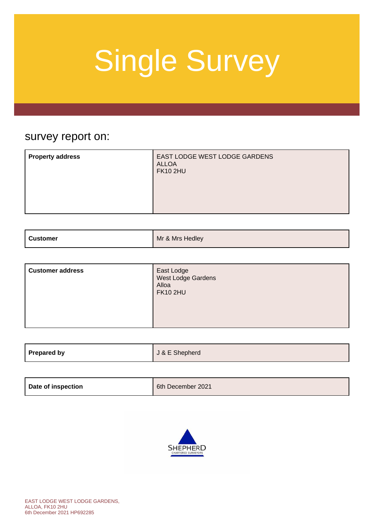### survey report on:

| EAST LODGE WEST LODGE GARDENS<br><b>Property address</b><br><b>ALLOA</b><br><b>FK10 2HU</b> |
|---------------------------------------------------------------------------------------------|
|---------------------------------------------------------------------------------------------|

| <b>Customer</b> | Mr & Mrs Hedley |
|-----------------|-----------------|
|                 |                 |

| <b>Customer address</b> | East Lodge<br>West Lodge Gardens<br>Alloa<br><b>FK10 2HU</b> |
|-------------------------|--------------------------------------------------------------|
|-------------------------|--------------------------------------------------------------|

| Prepared by | J & E Shepherd |
|-------------|----------------|
|             |                |

| 6th December 2021 |
|-------------------|
|                   |

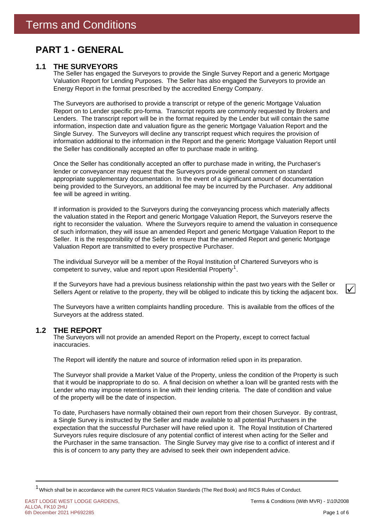### **PART 1 - GENERAL**

### **1.1 THE SURVEYORS**

The Seller has engaged the Surveyors to provide the Single Survey Report and a generic Mortgage Valuation Report for Lending Purposes. The Seller has also engaged the Surveyors to provide an Energy Report in the format prescribed by the accredited Energy Company.

The Surveyors are authorised to provide a transcript or retype of the generic Mortgage Valuation Report on to Lender specific pro-forma. Transcript reports are commonly requested by Brokers and Lenders. The transcript report will be in the format required by the Lender but will contain the same information, inspection date and valuation figure as the generic Mortgage Valuation Report and the Single Survey. The Surveyors will decline any transcript request which requires the provision of information additional to the information in the Report and the generic Mortgage Valuation Report until the Seller has conditionally accepted an offer to purchase made in writing.

Once the Seller has conditionally accepted an offer to purchase made in writing, the Purchaser's lender or conveyancer may request that the Surveyors provide general comment on standard appropriate supplementary documentation. In the event of a significant amount of documentation being provided to the Surveyors, an additional fee may be incurred by the Purchaser. Any additional fee will be agreed in writing.

If information is provided to the Surveyors during the conveyancing process which materially affects the valuation stated in the Report and generic Mortgage Valuation Report, the Surveyors reserve the right to reconsider the valuation. Where the Surveyors require to amend the valuation in consequence of such information, they will issue an amended Report and generic Mortgage Valuation Report to the Seller. It is the responsibility of the Seller to ensure that the amended Report and generic Mortgage Valuation Report are transmitted to every prospective Purchaser.

competent to survey, value and report upon Residential Property<sup>1</sup>. The individual Surveyor will be a member of the Royal Institution of Chartered Surveyors who is

If the Surveyors have had a previous business relationship within the past two years with the Seller or Sellers Agent or relative to the property, they will be obliged to indicate this by ticking the adjacent box.

The Surveyors have a written complaints handling procedure. This is available from the offices of the Surveyors at the address stated.

#### **THE REPORT 1.2**

The Surveyors will not provide an amended Report on the Property, except to correct factual inaccuracies.

The Report will identify the nature and source of information relied upon in its preparation.

The Surveyor shall provide a Market Value of the Property, unless the condition of the Property is such that it would be inappropriate to do so. A final decision on whether a loan will be granted rests with the Lender who may impose retentions in line with their lending criteria. The date of condition and value of the property will be the date of inspection.

To date, Purchasers have normally obtained their own report from their chosen Surveyor. By contrast, a Single Survey is instructed by the Seller and made available to all potential Purchasers in the expectation that the successful Purchaser will have relied upon it. The Royal Institution of Chartered Surveyors rules require disclosure of any potential conflict of interest when acting for the Seller and the Purchaser in the same transaction. The Single Survey may give rise to a conflict of interest and if this is of concern to any party they are advised to seek their own independent advice.

 $\checkmark$ 

<sup>&</sup>lt;sup>1</sup> Which shall be in accordance with the current RICS Valuation Standards (The Red Book) and RICS Rules of Conduct.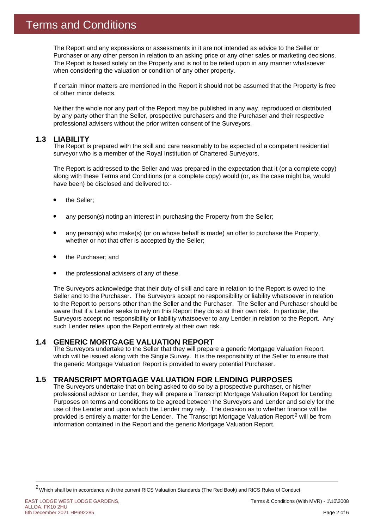The Report and any expressions or assessments in it are not intended as advice to the Seller or Purchaser or any other person in relation to an asking price or any other sales or marketing decisions. The Report is based solely on the Property and is not to be relied upon in any manner whatsoever when considering the valuation or condition of any other property.

If certain minor matters are mentioned in the Report it should not be assumed that the Property is free of other minor defects.

Neither the whole nor any part of the Report may be published in any way, reproduced or distributed by any party other than the Seller, prospective purchasers and the Purchaser and their respective professional advisers without the prior written consent of the Surveyors.

#### **1.3 LIABILITY**

The Report is prepared with the skill and care reasonably to be expected of a competent residential surveyor who is a member of the Royal Institution of Chartered Surveyors.

The Report is addressed to the Seller and was prepared in the expectation that it (or a complete copy) along with these Terms and Conditions (or a complete copy) would (or, as the case might be, would have been) be disclosed and delivered to:-

- the Seller;
- any person(s) noting an interest in purchasing the Property from the Seller;
- any person(s) who make(s) (or on whose behalf is made) an offer to purchase the Property, whether or not that offer is accepted by the Seller;
- the Purchaser; and
- the professional advisers of any of these.

The Surveyors acknowledge that their duty of skill and care in relation to the Report is owed to the Seller and to the Purchaser. The Surveyors accept no responsibility or liability whatsoever in relation to the Report to persons other than the Seller and the Purchaser. The Seller and Purchaser should be aware that if a Lender seeks to rely on this Report they do so at their own risk. In particular, the Surveyors accept no responsibility or liability whatsoever to any Lender in relation to the Report. Any such Lender relies upon the Report entirely at their own risk.

#### **GENERIC MORTGAGE VALUATION REPORT 1.4**

The Surveyors undertake to the Seller that they will prepare a generic Mortgage Valuation Report, which will be issued along with the Single Survey. It is the responsibility of the Seller to ensure that the generic Mortgage Valuation Report is provided to every potential Purchaser.

#### **TRANSCRIPT MORTGAGE VALUATION FOR LENDING PURPOSES 1.5**

provided is entirely a matter for the Lender. The Transcript Mortgage Valuation Report<sup>2</sup> will be from The Surveyors undertake that on being asked to do so by a prospective purchaser, or his/her professional advisor or Lender, they will prepare a Transcript Mortgage Valuation Report for Lending Purposes on terms and conditions to be agreed between the Surveyors and Lender and solely for the use of the Lender and upon which the Lender may rely. The decision as to whether finance will be information contained in the Report and the generic Mortgage Valuation Report.

EAST LODGE WEST LODGE GARDENS, ALLOA, FK10 2HU 6th December 2021 HP692285

<sup>2</sup>Which shall be in accordance with the current RICS Valuation Standards (The Red Book) and RICS Rules of Conduct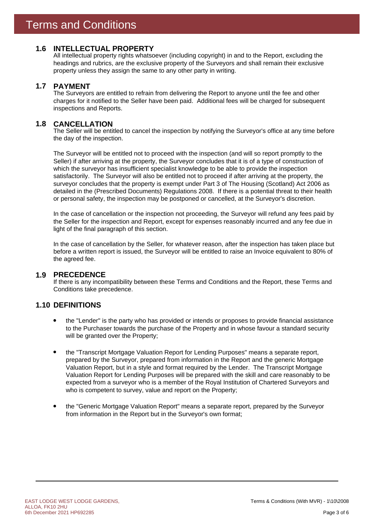### **1.6 INTELLECTUAL PROPERTY**

All intellectual property rights whatsoever (including copyright) in and to the Report, excluding the headings and rubrics, are the exclusive property of the Surveyors and shall remain their exclusive property unless they assign the same to any other party in writing.

#### **PAYMENT 1.7**

The Surveyors are entitled to refrain from delivering the Report to anyone until the fee and other charges for it notified to the Seller have been paid. Additional fees will be charged for subsequent inspections and Reports.

#### **CANCELLATION 1.8**

The Seller will be entitled to cancel the inspection by notifying the Surveyor's office at any time before the day of the inspection.

The Surveyor will be entitled not to proceed with the inspection (and will so report promptly to the Seller) if after arriving at the property, the Surveyor concludes that it is of a type of construction of which the surveyor has insufficient specialist knowledge to be able to provide the inspection satisfactorily. The Surveyor will also be entitled not to proceed if after arriving at the property, the surveyor concludes that the property is exempt under Part 3 of The Housing (Scotland) Act 2006 as detailed in the (Prescribed Documents) Regulations 2008. If there is a potential threat to their health or personal safety, the inspection may be postponed or cancelled, at the Surveyor's discretion.

In the case of cancellation or the inspection not proceeding, the Surveyor will refund any fees paid by the Seller for the inspection and Report, except for expenses reasonably incurred and any fee due in light of the final paragraph of this section.

In the case of cancellation by the Seller, for whatever reason, after the inspection has taken place but before a written report is issued, the Surveyor will be entitled to raise an Invoice equivalent to 80% of the agreed fee.

### **PRECEDENCE 1.9**

If there is any incompatibility between these Terms and Conditions and the Report, these Terms and Conditions take precedence.

### **1.10 DEFINITIONS**

- the "Lender" is the party who has provided or intends or proposes to provide financial assistance to the Purchaser towards the purchase of the Property and in whose favour a standard security will be granted over the Property;
- the "Transcript Mortgage Valuation Report for Lending Purposes" means a separate report, prepared by the Surveyor, prepared from information in the Report and the generic Mortgage Valuation Report, but in a style and format required by the Lender. The Transcript Mortgage Valuation Report for Lending Purposes will be prepared with the skill and care reasonably to be expected from a surveyor who is a member of the Royal Institution of Chartered Surveyors and who is competent to survey, value and report on the Property;
- the "Generic Mortgage Valuation Report" means a separate report, prepared by the Surveyor from information in the Report but in the Surveyor's own format;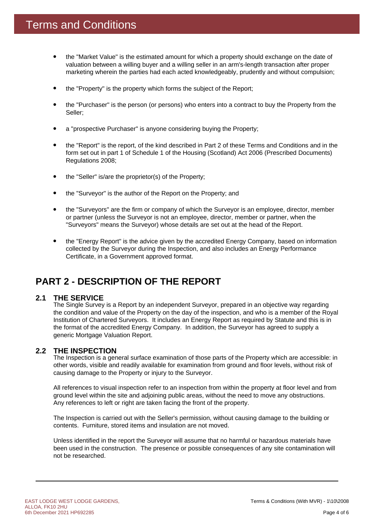- the "Market Value" is the estimated amount for which a property should exchange on the date of valuation between a willing buyer and a willing seller in an arm's-length transaction after proper marketing wherein the parties had each acted knowledgeably, prudently and without compulsion;
- the "Property" is the property which forms the subject of the Report;
- the "Purchaser" is the person (or persons) who enters into a contract to buy the Property from the Seller;
- a "prospective Purchaser" is anyone considering buying the Property;
- the "Report" is the report, of the kind described in Part 2 of these Terms and Conditions and in the form set out in part 1 of Schedule 1 of the Housing (Scotland) Act 2006 (Prescribed Documents) Regulations 2008;
- the "Seller" is/are the proprietor(s) of the Property;
- the "Surveyor" is the author of the Report on the Property; and
- the "Surveyors" are the firm or company of which the Surveyor is an employee, director, member or partner (unless the Surveyor is not an employee, director, member or partner, when the "Surveyors" means the Surveyor) whose details are set out at the head of the Report.
- the "Energy Report" is the advice given by the accredited Energy Company, based on information collected by the Surveyor during the Inspection, and also includes an Energy Performance Certificate, in a Government approved format.

### **PART 2 - DESCRIPTION OF THE REPORT**

#### **THE SERVICE 2.1**

The Single Survey is a Report by an independent Surveyor, prepared in an objective way regarding the condition and value of the Property on the day of the inspection, and who is a member of the Royal Institution of Chartered Surveyors. It includes an Energy Report as required by Statute and this is in the format of the accredited Energy Company. In addition, the Surveyor has agreed to supply a generic Mortgage Valuation Report.

### **THE INSPECTION 2.2**

The Inspection is a general surface examination of those parts of the Property which are accessible: in other words, visible and readily available for examination from ground and floor levels, without risk of causing damage to the Property or injury to the Surveyor.

All references to visual inspection refer to an inspection from within the property at floor level and from ground level within the site and adjoining public areas, without the need to move any obstructions. Any references to left or right are taken facing the front of the property.

The Inspection is carried out with the Seller's permission, without causing damage to the building or contents. Furniture, stored items and insulation are not moved.

Unless identified in the report the Surveyor will assume that no harmful or hazardous materials have been used in the construction. The presence or possible consequences of any site contamination will not be researched.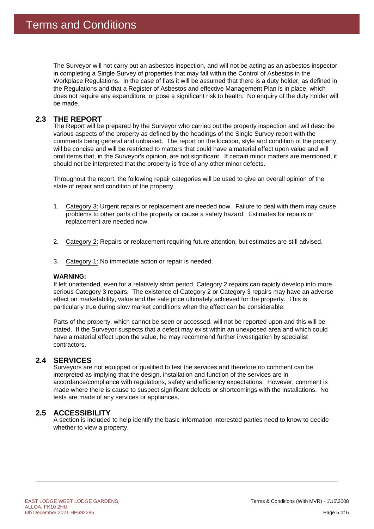The Surveyor will not carry out an asbestos inspection, and will not be acting as an asbestos inspector in completing a Single Survey of properties that may fall within the Control of Asbestos in the Workplace Regulations. In the case of flats it will be assumed that there is a duty holder, as defined in the Regulations and that a Register of Asbestos and effective Management Plan is in place, which does not require any expenditure, or pose a significant risk to health. No enquiry of the duty holder will be made.

#### **THE REPORT 2.3**

The Report will be prepared by the Surveyor who carried out the property inspection and will describe various aspects of the property as defined by the headings of the Single Survey report with the comments being general and unbiased. The report on the location, style and condition of the property, will be concise and will be restricted to matters that could have a material effect upon value and will omit items that, in the Surveyor's opinion, are not significant. If certain minor matters are mentioned, it should not be interpreted that the property is free of any other minor defects.

Throughout the report, the following repair categories will be used to give an overall opinion of the state of repair and condition of the property.

- 1. Category 3: Urgent repairs or replacement are needed now. Failure to deal with them may cause problems to other parts of the property or cause a safety hazard. Estimates for repairs or replacement are needed now.
- 2. Category 2: Repairs or replacement requiring future attention, but estimates are still advised.
- 3. Category 1: No immediate action or repair is needed.

### **WARNING:**

If left unattended, even for a relatively short period, Category 2 repairs can rapidly develop into more serious Category 3 repairs. The existence of Category 2 or Category 3 repairs may have an adverse effect on marketability, value and the sale price ultimately achieved for the property. This is particularly true during slow market conditions when the effect can be considerable.

Parts of the property, which cannot be seen or accessed, will not be reported upon and this will be stated. If the Surveyor suspects that a defect may exist within an unexposed area and which could have a material effect upon the value, he may recommend further investigation by specialist contractors.

### 2.4 SERVICES

Surveyors are not equipped or qualified to test the services and therefore no comment can be interpreted as implying that the design, installation and function of the services are in accordance/compliance with regulations, safety and efficiency expectations. However, comment is made where there is cause to suspect significant defects or shortcomings with the installations. No tests are made of any services or appliances.

### **ACCESSIBILITY 2.5**

A section is included to help identify the basic information interested parties need to know to decide whether to view a property.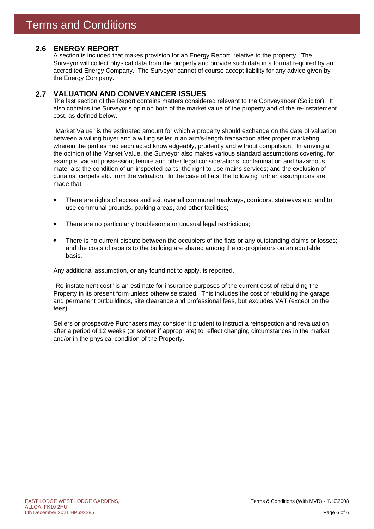### **ENERGY REPORT 2.6**

A section is included that makes provision for an Energy Report, relative to the property. The Surveyor will collect physical data from the property and provide such data in a format required by an accredited Energy Company. The Surveyor cannot of course accept liability for any advice given by the Energy Company.

#### **VALUATION AND CONVEYANCER ISSUES 2.7**

The last section of the Report contains matters considered relevant to the Conveyancer (Solicitor). It also contains the Surveyor's opinion both of the market value of the property and of the re-instatement cost, as defined below.

"Market Value" is the estimated amount for which a property should exchange on the date of valuation between a willing buyer and a willing seller in an arm's-length transaction after proper marketing wherein the parties had each acted knowledgeably, prudently and without compulsion. In arriving at the opinion of the Market Value, the Surveyor also makes various standard assumptions covering, for example, vacant possession; tenure and other legal considerations; contamination and hazardous materials; the condition of un-inspected parts; the right to use mains services; and the exclusion of curtains, carpets etc. from the valuation. In the case of flats, the following further assumptions are made that:

- There are rights of access and exit over all communal roadways, corridors, stairways etc. and to use communal grounds, parking areas, and other facilities;
- There are no particularly troublesome or unusual legal restrictions;
- There is no current dispute between the occupiers of the flats or any outstanding claims or losses; and the costs of repairs to the building are shared among the co-proprietors on an equitable basis.

Any additional assumption, or any found not to apply, is reported.

"Re-instatement cost" is an estimate for insurance purposes of the current cost of rebuilding the Property in its present form unless otherwise stated. This includes the cost of rebuilding the garage and permanent outbuildings, site clearance and professional fees, but excludes VAT (except on the fees).

Sellers or prospective Purchasers may consider it prudent to instruct a reinspection and revaluation after a period of 12 weeks (or sooner if appropriate) to reflect changing circumstances in the market and/or in the physical condition of the Property.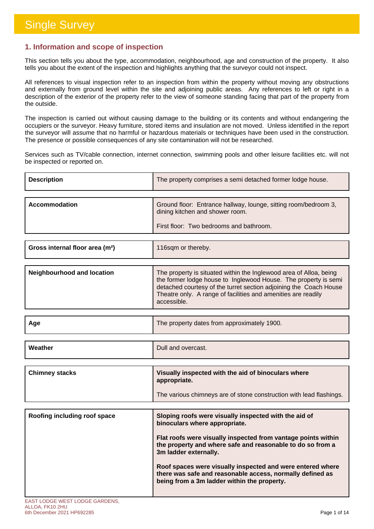### **1. Information and scope of inspection**

This section tells you about the type, accommodation, neighbourhood, age and construction of the property. It also tells you about the extent of the inspection and highlights anything that the surveyor could not inspect.

All references to visual inspection refer to an inspection from within the property without moving any obstructions and externally from ground level within the site and adjoining public areas. Any references to left or right in a description of the exterior of the property refer to the view of someone standing facing that part of the property from the outside.

The inspection is carried out without causing damage to the building or its contents and without endangering the occupiers or the surveyor. Heavy furniture, stored items and insulation are not moved. Unless identified in the report the surveyor will assume that no harmful or hazardous materials or techniques have been used in the construction. The presence or possible consequences of any site contamination will not be researched.

Services such as TV/cable connection, internet connection, swimming pools and other leisure facilities etc. will not be inspected or reported on.

| <b>Description</b> | The property comprises a semi detached former lodge house.                                         |
|--------------------|----------------------------------------------------------------------------------------------------|
|                    |                                                                                                    |
| Accommodation      | Ground floor: Entrance hallway, lounge, sitting room/bedroom 3,<br>dining kitchen and shower room. |
|                    | First floor: Two bedrooms and bathroom.                                                            |

| Gross internal floor area (m <sup>2</sup> ) | 116sqm or thereby.                                                                                                                                                                                                                                                                         |
|---------------------------------------------|--------------------------------------------------------------------------------------------------------------------------------------------------------------------------------------------------------------------------------------------------------------------------------------------|
|                                             |                                                                                                                                                                                                                                                                                            |
| Neighbourhood and location                  | The property is situated within the Inglewood area of Alloa, being<br>the former lodge house to Inglewood House. The property is semi<br>detached courtesy of the turret section adjoining the Coach House<br>Theatre only. A range of facilities and amenities are readily<br>accessible. |

| Age | The property dates from approximately 1900. |
|-----|---------------------------------------------|
|     |                                             |

Dull and overcast.

| Chimney stacks | Visually inspected with the aid of binoculars where<br>appropriate. |
|----------------|---------------------------------------------------------------------|
|                | The various chimneys are of stone construction with lead flashings. |

| Roofing including roof space | Sloping roofs were visually inspected with the aid of<br>binoculars where appropriate.                                                                                 |
|------------------------------|------------------------------------------------------------------------------------------------------------------------------------------------------------------------|
|                              | Flat roofs were visually inspected from vantage points within<br>the property and where safe and reasonable to do so from a<br>3m ladder externally.                   |
|                              | Roof spaces were visually inspected and were entered where<br>there was safe and reasonable access, normally defined as<br>being from a 3m ladder within the property. |

**Weather**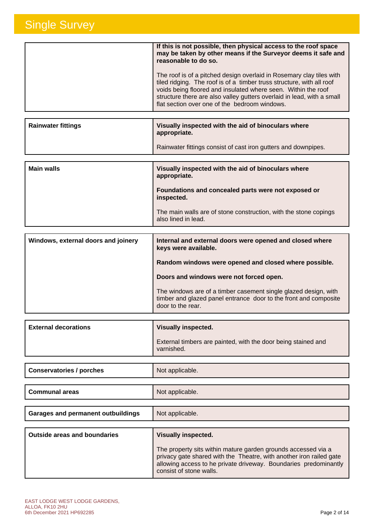| If this is not possible, then physical access to the roof space<br>may be taken by other means if the Surveyor deems it safe and<br>reasonable to do so.                                                                                                                                                                                  |
|-------------------------------------------------------------------------------------------------------------------------------------------------------------------------------------------------------------------------------------------------------------------------------------------------------------------------------------------|
| The roof is of a pitched design overlaid in Rosemary clay tiles with<br>tiled ridging. The roof is of a timber truss structure, with all roof<br>voids being floored and insulated where seen. Within the roof<br>structure there are also valley gutters overlaid in lead, with a small<br>flat section over one of the bedroom windows. |

| <b>Rainwater fittings</b> | Visually inspected with the aid of binoculars where<br>appropriate. |
|---------------------------|---------------------------------------------------------------------|
|                           | Rainwater fittings consist of cast iron gutters and downpipes.      |

| <b>Main walls</b> | Visually inspected with the aid of binoculars where<br>appropriate.                     |
|-------------------|-----------------------------------------------------------------------------------------|
|                   | Foundations and concealed parts were not exposed or<br>inspected.                       |
|                   | The main walls are of stone construction, with the stone copings<br>also lined in lead. |

| Windows, external doors and joinery | Internal and external doors were opened and closed where<br>keys were available.                                                                         |
|-------------------------------------|----------------------------------------------------------------------------------------------------------------------------------------------------------|
|                                     | Random windows were opened and closed where possible.                                                                                                    |
|                                     | Doors and windows were not forced open.                                                                                                                  |
|                                     | The windows are of a timber casement single glazed design, with<br>timber and glazed panel entrance door to the front and composite<br>door to the rear. |

| <b>External decorations</b> | <b>Visually inspected.</b>                                                  |
|-----------------------------|-----------------------------------------------------------------------------|
|                             | External timbers are painted, with the door being stained and<br>varnished. |

| <b>Conservatories / porches</b> | Not applicable. |
|---------------------------------|-----------------|
|                                 |                 |
|                                 |                 |

| <b>Communal areas</b> | Not applicable. |
|-----------------------|-----------------|
|                       |                 |

| Garages and permanent outbuildings | Not applicable. |
|------------------------------------|-----------------|
|                                    |                 |

| <b>Outside areas and boundaries</b> | <b>Visually inspected.</b>                                                                                                                                                                                                          |
|-------------------------------------|-------------------------------------------------------------------------------------------------------------------------------------------------------------------------------------------------------------------------------------|
|                                     | The property sits within mature garden grounds accessed via a<br>privacy gate shared with the Theatre, with another iron railed gate<br>allowing access to he private driveway. Boundaries predominantly<br>consist of stone walls. |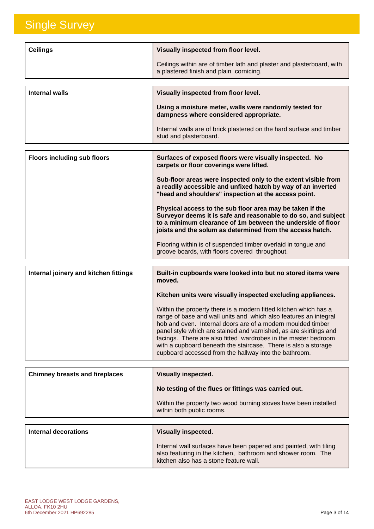| <b>Ceilings</b>                    | Visually inspected from floor level.                                                                             |
|------------------------------------|------------------------------------------------------------------------------------------------------------------|
|                                    | Ceilings within are of timber lath and plaster and plasterboard, with<br>a plastered finish and plain cornicing. |
|                                    |                                                                                                                  |
| Internal walls                     | Visually inspected from floor level.                                                                             |
|                                    | Using a moisture meter, walls were randomly tested for<br>dampness where considered appropriate.                 |
|                                    | Internal walls are of brick plastered on the hard surface and timber<br>stud and plasterboard.                   |
|                                    |                                                                                                                  |
| <b>Floors including sub floors</b> | Surfaces of exposed floors were visually inspected. No<br>carpets or floor coverings were lifted.                |

| carpets or floor coverings were integ.                                                                                                                                                                                                                  |
|---------------------------------------------------------------------------------------------------------------------------------------------------------------------------------------------------------------------------------------------------------|
| Sub-floor areas were inspected only to the extent visible from<br>a readily accessible and unfixed hatch by way of an inverted<br>"head and shoulders" inspection at the access point.                                                                  |
| Physical access to the sub floor area may be taken if the<br>Surveyor deems it is safe and reasonable to do so, and subject<br>to a minimum clearance of 1m between the underside of floor<br>joists and the solum as determined from the access hatch. |
| Flooring within is of suspended timber overlaid in tongue and<br>groove boards, with floors covered throughout.                                                                                                                                         |

| Internal joinery and kitchen fittings | Built-in cupboards were looked into but no stored items were<br>moved.                                                                                                                                                                                                                                                                                                                                                                                                |
|---------------------------------------|-----------------------------------------------------------------------------------------------------------------------------------------------------------------------------------------------------------------------------------------------------------------------------------------------------------------------------------------------------------------------------------------------------------------------------------------------------------------------|
|                                       | Kitchen units were visually inspected excluding appliances.                                                                                                                                                                                                                                                                                                                                                                                                           |
|                                       | Within the property there is a modern fitted kitchen which has a<br>range of base and wall units and which also features an integral<br>hob and oven. Internal doors are of a modern moulded timber<br>panel style which are stained and varnished, as are skirtings and<br>facings. There are also fitted wardrobes in the master bedroom<br>with a cupboard beneath the staircase. There is also a storage<br>cupboard accessed from the hallway into the bathroom. |

| <b>Chimney breasts and fireplaces</b> | Visually inspected.                                                                          |
|---------------------------------------|----------------------------------------------------------------------------------------------|
|                                       | No testing of the flues or fittings was carried out.                                         |
|                                       | Within the property two wood burning stoves have been installed<br>within both public rooms. |
|                                       |                                                                                              |
| Internal decorations                  | Visually incnoctod                                                                           |

| Internal decorations | Visually inspected.                                                                                                                                                         |
|----------------------|-----------------------------------------------------------------------------------------------------------------------------------------------------------------------------|
|                      | Internal wall surfaces have been papered and painted, with tiling<br>also featuring in the kitchen, bathroom and shower room. The<br>kitchen also has a stone feature wall. |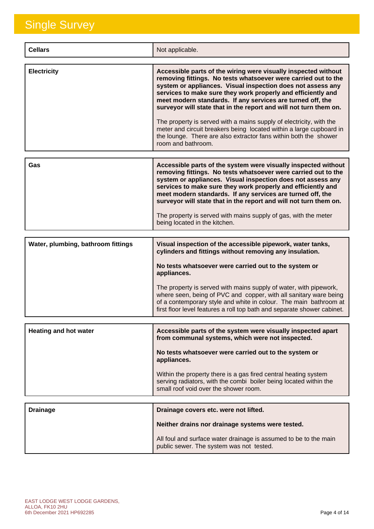| <b>Cellars</b>                     | Not applicable.                                                                                                                                                                                                                                                                                                                                                                                                                                                                                                                                                                                                                            |
|------------------------------------|--------------------------------------------------------------------------------------------------------------------------------------------------------------------------------------------------------------------------------------------------------------------------------------------------------------------------------------------------------------------------------------------------------------------------------------------------------------------------------------------------------------------------------------------------------------------------------------------------------------------------------------------|
| <b>Electricity</b>                 | Accessible parts of the wiring were visually inspected without<br>removing fittings. No tests whatsoever were carried out to the<br>system or appliances. Visual inspection does not assess any<br>services to make sure they work properly and efficiently and<br>meet modern standards. If any services are turned off, the<br>surveyor will state that in the report and will not turn them on.<br>The property is served with a mains supply of electricity, with the<br>meter and circuit breakers being located within a large cupboard in<br>the lounge. There are also extractor fans within both the shower<br>room and bathroom. |
| Gas                                | Accessible parts of the system were visually inspected without<br>removing fittings. No tests whatsoever were carried out to the<br>system or appliances. Visual inspection does not assess any<br>services to make sure they work properly and efficiently and<br>meet modern standards. If any services are turned off, the<br>surveyor will state that in the report and will not turn them on.<br>The property is served with mains supply of gas, with the meter<br>being located in the kitchen.                                                                                                                                     |
| Water, plumbing, bathroom fittings | Visual inspection of the accessible pipework, water tanks,<br>cylinders and fittings without removing any insulation.<br>No tests whatsoever were carried out to the system or<br>appliances.<br>The property is served with mains supply of water, with pipework,<br>where seen, being of PVC and copper, with all sanitary ware being<br>of a contemporary style and white in colour. The main bathroom at<br>first floor level features a roll top bath and separate shower cabinet.                                                                                                                                                    |
| <b>Heating and hot water</b>       | Accessible parts of the system were visually inspected apart<br>from communal systems, which were not inspected.<br>No tests whatsoever were carried out to the system or<br>appliances.<br>Within the property there is a gas fired central heating system<br>serving radiators, with the combi boiler being located within the<br>small roof void over the shower room.                                                                                                                                                                                                                                                                  |
| <b>Drainage</b>                    | Drainage covers etc. were not lifted.<br>Neither drains nor drainage systems were tested.<br>All foul and surface water drainage is assumed to be to the main<br>public sewer. The system was not tested.                                                                                                                                                                                                                                                                                                                                                                                                                                  |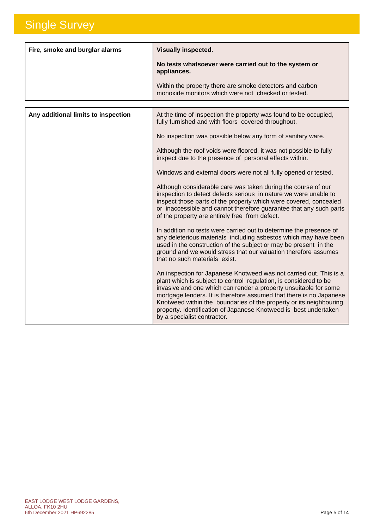| Fire, smoke and burglar alarms | <b>Visually inspected.</b><br>No tests whatsoever were carried out to the system or<br>appliances.              |
|--------------------------------|-----------------------------------------------------------------------------------------------------------------|
|                                | Within the property there are smoke detectors and carbon<br>monoxide monitors which were not checked or tested. |

| Any additional limits to inspection | At the time of inspection the property was found to be occupied,<br>fully furnished and with floors covered throughout.                                                                                                                                                                                                                                                                                                                                     |
|-------------------------------------|-------------------------------------------------------------------------------------------------------------------------------------------------------------------------------------------------------------------------------------------------------------------------------------------------------------------------------------------------------------------------------------------------------------------------------------------------------------|
|                                     | No inspection was possible below any form of sanitary ware.                                                                                                                                                                                                                                                                                                                                                                                                 |
|                                     | Although the roof voids were floored, it was not possible to fully<br>inspect due to the presence of personal effects within.                                                                                                                                                                                                                                                                                                                               |
|                                     | Windows and external doors were not all fully opened or tested.                                                                                                                                                                                                                                                                                                                                                                                             |
|                                     | Although considerable care was taken during the course of our<br>inspection to detect defects serious in nature we were unable to<br>inspect those parts of the property which were covered, concealed<br>or inaccessible and cannot therefore guarantee that any such parts<br>of the property are entirely free from defect.                                                                                                                              |
|                                     | In addition no tests were carried out to determine the presence of<br>any deleterious materials including asbestos which may have been<br>used in the construction of the subject or may be present in the<br>ground and we would stress that our valuation therefore assumes<br>that no such materials exist.                                                                                                                                              |
|                                     | An inspection for Japanese Knotweed was not carried out. This is a<br>plant which is subject to control regulation, is considered to be<br>invasive and one which can render a property unsuitable for some<br>mortgage lenders. It is therefore assumed that there is no Japanese<br>Knotweed within the boundaries of the property or its neighbouring<br>property. Identification of Japanese Knotweed is best undertaken<br>by a specialist contractor. |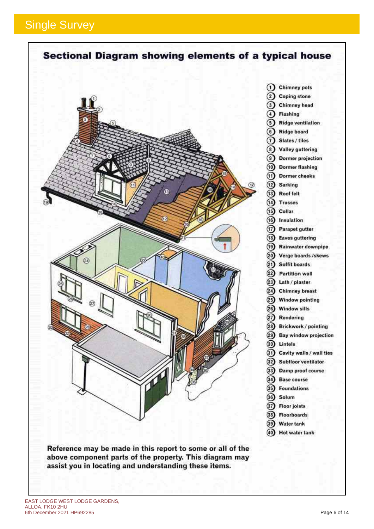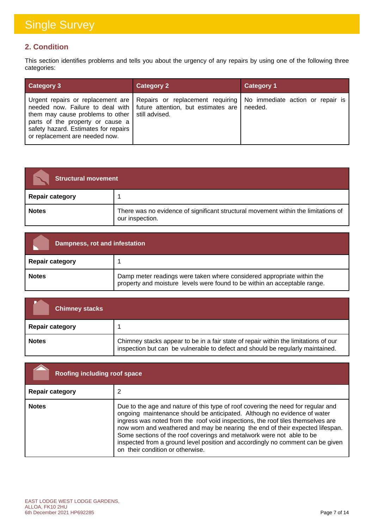### **2. Condition**

This section identifies problems and tells you about the urgency of any repairs by using one of the following three categories:

| <b>Category 3</b>                                                                                                                                               | <b>Category 2</b>                                                                                                                                              | <b>Category 1</b>                           |
|-----------------------------------------------------------------------------------------------------------------------------------------------------------------|----------------------------------------------------------------------------------------------------------------------------------------------------------------|---------------------------------------------|
| them may cause problems to other   still advised.<br>parts of the property or cause a<br>safety hazard. Estimates for repairs<br>or replacement are needed now. | Urgent repairs or replacement are   Repairs or replacement requiring  <br>needed now. Failure to deal with $\vert$ future attention, but estimates are $\vert$ | No immediate action or repair is<br>needed. |

| <b>Structural movement</b> |                                                                                                       |
|----------------------------|-------------------------------------------------------------------------------------------------------|
| <b>Repair category</b>     |                                                                                                       |
| <b>Notes</b>               | There was no evidence of significant structural movement within the limitations of<br>our inspection. |

| Dampness, rot and infestation |                                                                                                                                                     |
|-------------------------------|-----------------------------------------------------------------------------------------------------------------------------------------------------|
| <b>Repair category</b>        |                                                                                                                                                     |
| <b>Notes</b>                  | Damp meter readings were taken where considered appropriate within the<br>property and moisture levels were found to be within an acceptable range. |

| <b>Chimney stacks</b>  |                                                                                                                                                                       |
|------------------------|-----------------------------------------------------------------------------------------------------------------------------------------------------------------------|
| <b>Repair category</b> |                                                                                                                                                                       |
| <b>Notes</b>           | Chimney stacks appear to be in a fair state of repair within the limitations of our<br>inspection but can be vulnerable to defect and should be regularly maintained. |

| Roofing including roof space |                                                                                                                                                                                                                                                                                                                                                                                                                                                                                                                                 |
|------------------------------|---------------------------------------------------------------------------------------------------------------------------------------------------------------------------------------------------------------------------------------------------------------------------------------------------------------------------------------------------------------------------------------------------------------------------------------------------------------------------------------------------------------------------------|
| <b>Repair category</b>       |                                                                                                                                                                                                                                                                                                                                                                                                                                                                                                                                 |
| <b>Notes</b>                 | Due to the age and nature of this type of roof covering the need for regular and<br>ongoing maintenance should be anticipated. Although no evidence of water<br>ingress was noted from the roof void inspections, the roof tiles themselves are<br>now worn and weathered and may be nearing the end of their expected lifespan.<br>Some sections of the roof coverings and metalwork were not able to be<br>inspected from a ground level position and accordingly no comment can be given<br>on their condition or otherwise. |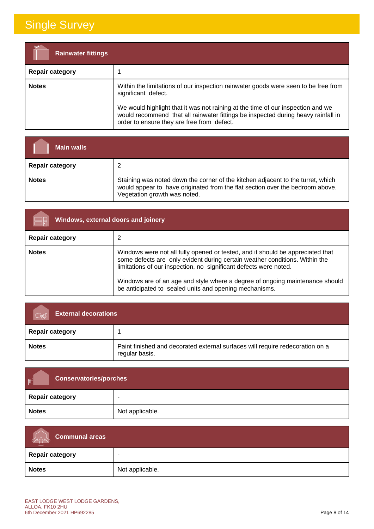| <b>Rainwater fittings</b> |                                                                                                                                                                                                                                                                                                                                 |
|---------------------------|---------------------------------------------------------------------------------------------------------------------------------------------------------------------------------------------------------------------------------------------------------------------------------------------------------------------------------|
| <b>Repair category</b>    |                                                                                                                                                                                                                                                                                                                                 |
| <b>Notes</b>              | Within the limitations of our inspection rainwater goods were seen to be free from<br>significant defect.<br>We would highlight that it was not raining at the time of our inspection and we<br>would recommend that all rainwater fittings be inspected during heavy rainfall in<br>order to ensure they are free from defect. |

| <b>Main walls</b>      |                                                                                                                                                                                                  |
|------------------------|--------------------------------------------------------------------------------------------------------------------------------------------------------------------------------------------------|
| <b>Repair category</b> |                                                                                                                                                                                                  |
| <b>Notes</b>           | Staining was noted down the corner of the kitchen adjacent to the turret, which<br>would appear to have originated from the flat section over the bedroom above.<br>Vegetation growth was noted. |

| <b>Windows, external doors and joinery</b> |                                                                                                                                                                                                                                                                                                                                                                              |
|--------------------------------------------|------------------------------------------------------------------------------------------------------------------------------------------------------------------------------------------------------------------------------------------------------------------------------------------------------------------------------------------------------------------------------|
| <b>Repair category</b>                     |                                                                                                                                                                                                                                                                                                                                                                              |
| <b>Notes</b>                               | Windows were not all fully opened or tested, and it should be appreciated that<br>some defects are only evident during certain weather conditions. Within the<br>limitations of our inspection, no significant defects were noted.<br>Windows are of an age and style where a degree of ongoing maintenance should<br>be anticipated to sealed units and opening mechanisms. |

| <b>External decorations</b> |                                                                                                 |
|-----------------------------|-------------------------------------------------------------------------------------------------|
| <b>Repair category</b>      |                                                                                                 |
| <b>Notes</b>                | Paint finished and decorated external surfaces will require redecoration on a<br>regular basis. |

| 画<br><b>Conservatories/porches</b> |                 |
|------------------------------------|-----------------|
| <b>Repair category</b>             |                 |
| <b>Notes</b>                       | Not applicable. |

| Communal areas  |                 |
|-----------------|-----------------|
| Repair category | -               |
| <b>Notes</b>    | Not applicable. |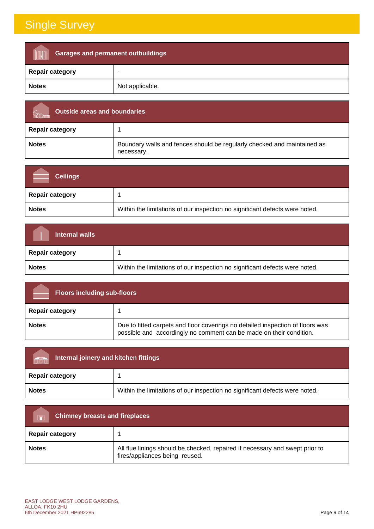| <b>Garages and permanent outbuildings</b> |                 |
|-------------------------------------------|-----------------|
| <b>Repair category</b>                    | ۰               |
| <b>Notes</b>                              | Not applicable. |

| <b>Outside areas and boundaries</b> |                                                                                       |
|-------------------------------------|---------------------------------------------------------------------------------------|
| <b>Repair category</b>              |                                                                                       |
| <b>Notes</b>                        | Boundary walls and fences should be regularly checked and maintained as<br>necessary. |

| <b>Ceilings</b>        |                                                                             |
|------------------------|-----------------------------------------------------------------------------|
| <b>Repair category</b> |                                                                             |
| <b>Notes</b>           | Within the limitations of our inspection no significant defects were noted. |

| Internal walls         |                                                                             |
|------------------------|-----------------------------------------------------------------------------|
| <b>Repair category</b> |                                                                             |
| <b>Notes</b>           | Within the limitations of our inspection no significant defects were noted. |

| <b>Floors including sub-floors</b> |                                                                                                                                                       |
|------------------------------------|-------------------------------------------------------------------------------------------------------------------------------------------------------|
| <b>Repair category</b>             |                                                                                                                                                       |
| <b>Notes</b>                       | Due to fitted carpets and floor coverings no detailed inspection of floors was<br>possible and accordingly no comment can be made on their condition. |

| Internal joinery and kitchen fittings<br>m <sup>28</sup> |                                                                             |
|----------------------------------------------------------|-----------------------------------------------------------------------------|
| <b>Repair category</b>                                   |                                                                             |
| <b>Notes</b>                                             | Within the limitations of our inspection no significant defects were noted. |

| <b>Chimney breasts and fireplaces</b><br>$\Box$ |                                                                                                                |
|-------------------------------------------------|----------------------------------------------------------------------------------------------------------------|
| <b>Repair category</b>                          |                                                                                                                |
| <b>Notes</b>                                    | All flue linings should be checked, repaired if necessary and swept prior to<br>fires/appliances being reused. |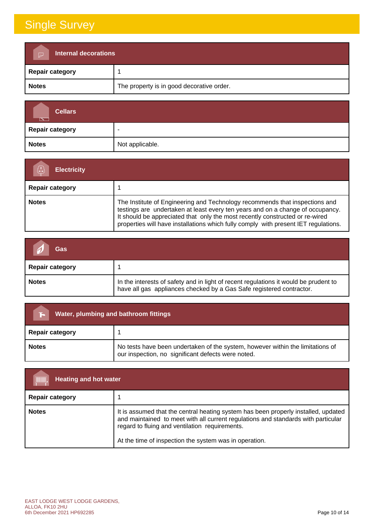| Internal decorations<br>$\triangleright$ |                                           |
|------------------------------------------|-------------------------------------------|
| <b>Repair category</b>                   |                                           |
| <b>Notes</b>                             | The property is in good decorative order. |

| <b>Cellars</b><br>$\overline{\phantom{1}}$ |                 |
|--------------------------------------------|-----------------|
| <b>Repair category</b>                     | -               |
| <b>Notes</b>                               | Not applicable. |

| <b>Electricity</b>     |                                                                                                                                                                                                                                                                                                                                      |
|------------------------|--------------------------------------------------------------------------------------------------------------------------------------------------------------------------------------------------------------------------------------------------------------------------------------------------------------------------------------|
| <b>Repair category</b> |                                                                                                                                                                                                                                                                                                                                      |
| <b>Notes</b>           | The Institute of Engineering and Technology recommends that inspections and<br>testings are undertaken at least every ten years and on a change of occupancy.<br>It should be appreciated that only the most recently constructed or re-wired<br>properties will have installations which fully comply with present IET regulations. |

| Gas                    |                                                                                                                                                              |
|------------------------|--------------------------------------------------------------------------------------------------------------------------------------------------------------|
| <b>Repair category</b> |                                                                                                                                                              |
| <b>Notes</b>           | In the interests of safety and in light of recent regulations it would be prudent to<br>have all gas appliances checked by a Gas Safe registered contractor. |

| Water, plumbing and bathroom fittings |                                                                                                                                      |  |
|---------------------------------------|--------------------------------------------------------------------------------------------------------------------------------------|--|
| <b>Repair category</b>                |                                                                                                                                      |  |
| <b>Notes</b>                          | No tests have been undertaken of the system, however within the limitations of<br>our inspection, no significant defects were noted. |  |

| <b>TITTING</b><br><b>Heating and hot water</b> |                                                                                                                                                                                                                                                                                     |  |
|------------------------------------------------|-------------------------------------------------------------------------------------------------------------------------------------------------------------------------------------------------------------------------------------------------------------------------------------|--|
| <b>Repair category</b>                         |                                                                                                                                                                                                                                                                                     |  |
| <b>Notes</b>                                   | It is assumed that the central heating system has been properly installed, updated<br>and maintained to meet with all current regulations and standards with particular<br>regard to fluing and ventilation requirements.<br>At the time of inspection the system was in operation. |  |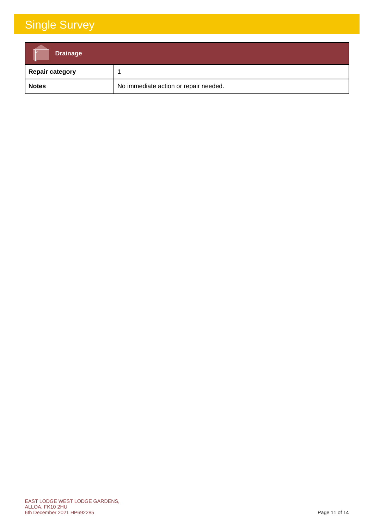| <b>Drainage</b>        |                                       |
|------------------------|---------------------------------------|
| <b>Repair category</b> |                                       |
| <b>Notes</b>           | No immediate action or repair needed. |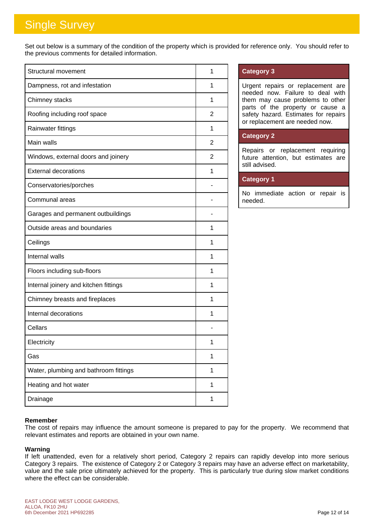Set out below is a summary of the condition of the property which is provided for reference only. You should refer to the previous comments for detailed information.

| <b>Structural movement</b>            | 1 |
|---------------------------------------|---|
| Dampness, rot and infestation         | 1 |
| Chimney stacks                        | 1 |
| Roofing including roof space          | 2 |
| Rainwater fittings                    | 1 |
| Main walls                            | 2 |
| Windows, external doors and joinery   | 2 |
| <b>External decorations</b>           | 1 |
| Conservatories/porches                |   |
| Communal areas                        |   |
| Garages and permanent outbuildings    |   |
| Outside areas and boundaries          | 1 |
| Ceilings                              | 1 |
| Internal walls                        | 1 |
| Floors including sub-floors           | 1 |
| Internal joinery and kitchen fittings | 1 |
| Chimney breasts and fireplaces        | 1 |
| Internal decorations                  | 1 |
| Cellars                               |   |
| Electricity                           | 1 |
| Gas                                   | 1 |
| Water, plumbing and bathroom fittings | 1 |
| Heating and hot water                 | 1 |
| Drainage                              | 1 |

### **Category 3**

Urgent repairs or replacement are needed now. Failure to deal with them may cause problems to other parts of the property or cause a safety hazard. Estimates for repairs or replacement are needed now.

### **Category 2**

Repairs or replacement requiring future attention, but estimates are still advised.

### **Category 1**

No immediate action or repair is needed.

### **Remember**

The cost of repairs may influence the amount someone is prepared to pay for the property. We recommend that relevant estimates and reports are obtained in your own name.

#### **Warning**

If left unattended, even for a relatively short period, Category 2 repairs can rapidly develop into more serious Category 3 repairs. The existence of Category 2 or Category 3 repairs may have an adverse effect on marketability, value and the sale price ultimately achieved for the property. This is particularly true during slow market conditions where the effect can be considerable.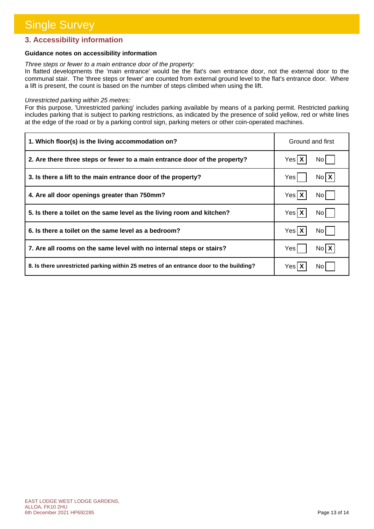### **3. Accessibility information**

### **Guidance notes on accessibility information**

#### *Three steps or fewer to a main entrance door of the property:*

In flatted developments the 'main entrance' would be the flat's own entrance door, not the external door to the communal stair. The 'three steps or fewer' are counted from external ground level to the flat's entrance door. Where a lift is present, the count is based on the number of steps climbed when using the lift.

#### *Unrestricted parking within 25 metres:*

For this purpose, 'Unrestricted parking' includes parking available by means of a parking permit. Restricted parking includes parking that is subject to parking restrictions, as indicated by the presence of solid yellow, red or white lines at the edge of the road or by a parking control sign, parking meters or other coin-operated machines.

| 1. Which floor(s) is the living accommodation on?                                      | Ground and first  |
|----------------------------------------------------------------------------------------|-------------------|
| 2. Are there three steps or fewer to a main entrance door of the property?             | $Yes$ $X$<br>No I |
| 3. Is there a lift to the main entrance door of the property?                          | $N_0$ $X$<br>Yes  |
| 4. Are all door openings greater than 750mm?                                           | Yes X<br>No l     |
| 5. Is there a toilet on the same level as the living room and kitchen?                 | Yes X<br>No l     |
| 6. Is there a toilet on the same level as a bedroom?                                   | Yes X<br>No l     |
| 7. Are all rooms on the same level with no internal steps or stairs?                   | $N_0$ $X$<br>Yes  |
| 8. Is there unrestricted parking within 25 metres of an entrance door to the building? | Yes   )<br>No I   |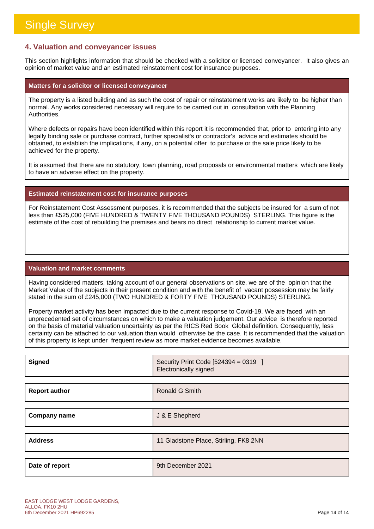### **4. Valuation and conveyancer issues**

This section highlights information that should be checked with a solicitor or licensed conveyancer. It also gives an opinion of market value and an estimated reinstatement cost for insurance purposes.

#### **Matters for a solicitor or licensed conveyancer**

The property is a listed building and as such the cost of repair or reinstatement works are likely to be higher than normal. Any works considered necessary will require to be carried out in consultation with the Planning Authorities.

Where defects or repairs have been identified within this report it is recommended that, prior to entering into any legally binding sale or purchase contract, further specialist's or contractor's advice and estimates should be obtained, to establish the implications, if any, on a potential offer to purchase or the sale price likely to be achieved for the property.

It is assumed that there are no statutory, town planning, road proposals or environmental matters which are likely to have an adverse effect on the property.

### **Estimated reinstatement cost for insurance purposes**

For Reinstatement Cost Assessment purposes, it is recommended that the subjects be insured for a sum of not less than £525,000 (FIVE HUNDRED & TWENTY FIVE THOUSAND POUNDS) STERLING. This figure is the estimate of the cost of rebuilding the premises and bears no direct relationship to current market value.

#### **Valuation and market comments**

Having considered matters, taking account of our general observations on site, we are of the opinion that the Market Value of the subjects in their present condition and with the benefit of vacant possession may be fairly stated in the sum of £245,000 (TWO HUNDRED & FORTY FIVE THOUSAND POUNDS) STERLING.

Property market activity has been impacted due to the current response to Covid-19. We are faced with an unprecedented set of circumstances on which to make a valuation judgement. Our advice is therefore reported on the basis of material valuation uncertainty as per the RICS Red Book Global definition. Consequently, less certainty can be attached to our valuation than would otherwise be the case. It is recommended that the valuation of this property is kept under frequent review as more market evidence becomes available.

| <b>Signed</b>        | Security Print Code [524394 = 0319 ]<br>Electronically signed |
|----------------------|---------------------------------------------------------------|
|                      |                                                               |
| <b>Report author</b> | Ronald G Smith                                                |
|                      |                                                               |
| <b>Company name</b>  | J & E Shepherd                                                |
|                      |                                                               |
| <b>Address</b>       | 11 Gladstone Place, Stirling, FK8 2NN                         |
|                      |                                                               |
| Date of report       | 9th December 2021                                             |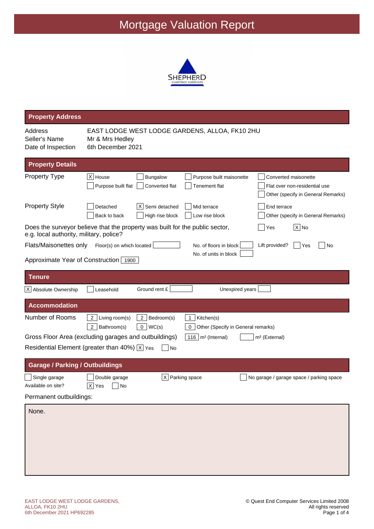

| <b>Property Address</b>                                         |                                                                                                                                                                                                                  |
|-----------------------------------------------------------------|------------------------------------------------------------------------------------------------------------------------------------------------------------------------------------------------------------------|
| Address<br>Seller's Name<br>Date of Inspection                  | EAST LODGE WEST LODGE GARDENS, ALLOA, FK10 2HU<br>Mr & Mrs Hedley<br>6th December 2021                                                                                                                           |
| <b>Property Details</b>                                         |                                                                                                                                                                                                                  |
| <b>Property Type</b>                                            | $X$ House<br>Bungalow<br>Purpose built maisonette<br>Converted maisonette<br>Purpose built flat<br>Converted flat<br><b>Tenement flat</b><br>Flat over non-residential use<br>Other (specify in General Remarks) |
| <b>Property Style</b>                                           | $X$ Semi detached<br>Detached<br>Mid terrace<br>End terrace<br>Back to back<br>High rise block<br>Low rise block<br>Other (specify in General Remarks)                                                           |
| e.g. local authority, military, police?                         | Does the surveyor believe that the property was built for the public sector,<br>$ X $ No<br>Yes                                                                                                                  |
| Flats/Maisonettes only<br>Approximate Year of Construction 1900 | Floor(s) on which located<br>No. of floors in block<br>Lift provided?<br>Yes<br>No<br>No. of units in block                                                                                                      |
| <b>Tenure</b>                                                   |                                                                                                                                                                                                                  |
| X Absolute Ownership                                            | Ground rent £<br>Leasehold<br>Unexpired years                                                                                                                                                                    |
| <b>Accommodation</b>                                            |                                                                                                                                                                                                                  |
| Number of Rooms                                                 | 2   Living room(s)<br>2 Bedroom(s)<br>Kitchen(s)<br>$\mathbf 1$<br>2   Bathroom(s)<br>0  WC(s)<br>Other (Specify in General remarks)<br>0                                                                        |
|                                                                 | Gross Floor Area (excluding garages and outbuildings)<br>$116$ m <sup>2</sup> (Internal)<br>m <sup>2</sup> (External)<br>Residential Element (greater than 40%) $\overline{X}$ Yes<br><b>No</b>                  |
|                                                                 |                                                                                                                                                                                                                  |
| <b>Garage / Parking / Outbuildings</b>                          |                                                                                                                                                                                                                  |
| Single garage<br>Available on site?<br>Permanent outbuildings:  | $X$ Parking space<br>Double garage<br>No garage / garage space / parking space<br> X <br>$ $ No<br>Yes                                                                                                           |
| None.                                                           |                                                                                                                                                                                                                  |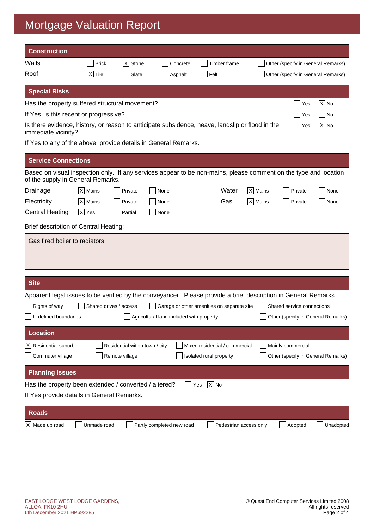| <b>Construction</b>                                                                                                                                   |                    |                                |                                          |                                            |                      |                                    |           |
|-------------------------------------------------------------------------------------------------------------------------------------------------------|--------------------|--------------------------------|------------------------------------------|--------------------------------------------|----------------------|------------------------------------|-----------|
| Walls                                                                                                                                                 | <b>Brick</b>       | X Stone                        | Concrete                                 | Timber frame                               |                      | Other (specify in General Remarks) |           |
| Roof                                                                                                                                                  | $X$ Tile           | Slate                          | Asphalt                                  | Felt                                       |                      | Other (specify in General Remarks) |           |
| <b>Special Risks</b>                                                                                                                                  |                    |                                |                                          |                                            |                      |                                    |           |
| Has the property suffered structural movement?                                                                                                        |                    |                                |                                          |                                            |                      | Yes                                | $ X $ No  |
| If Yes, is this recent or progressive?                                                                                                                |                    |                                |                                          |                                            |                      | Yes                                | No        |
| Is there evidence, history, or reason to anticipate subsidence, heave, landslip or flood in the<br>immediate vicinity?                                |                    |                                |                                          |                                            |                      | Yes                                | $X$ No    |
| If Yes to any of the above, provide details in General Remarks.                                                                                       |                    |                                |                                          |                                            |                      |                                    |           |
| <b>Service Connections</b>                                                                                                                            |                    |                                |                                          |                                            |                      |                                    |           |
| Based on visual inspection only. If any services appear to be non-mains, please comment on the type and location<br>of the supply in General Remarks. |                    |                                |                                          |                                            |                      |                                    |           |
| Drainage                                                                                                                                              | $ X $ Mains        | Private                        | None                                     | Water                                      | $ X $ Mains          | Private                            | None      |
| Electricity                                                                                                                                           | $ X $ Mains        | Private                        | None                                     | Gas                                        | $\overline{X}$ Mains | Private                            | None      |
| <b>Central Heating</b>                                                                                                                                | $\overline{X}$ Yes | Partial                        | None                                     |                                            |                      |                                    |           |
| <b>Brief description of Central Heating:</b>                                                                                                          |                    |                                |                                          |                                            |                      |                                    |           |
| Gas fired boiler to radiators.                                                                                                                        |                    |                                |                                          |                                            |                      |                                    |           |
| <b>Site</b>                                                                                                                                           |                    |                                |                                          |                                            |                      |                                    |           |
|                                                                                                                                                       |                    |                                |                                          |                                            |                      |                                    |           |
| Apparent legal issues to be verified by the conveyancer. Please provide a brief description in General Remarks.<br>Rights of way                      |                    | Shared drives / access         |                                          | Garage or other amenities on separate site |                      | Shared service connections         |           |
| Ill-defined boundaries                                                                                                                                |                    |                                | Agricultural land included with property |                                            |                      | Other (specify in General Remarks) |           |
| <b>Location</b>                                                                                                                                       |                    |                                |                                          |                                            |                      |                                    |           |
| X Residential suburb                                                                                                                                  |                    | Residential within town / city |                                          | Mixed residential / commercial             |                      | Mainly commercial                  |           |
| Commuter village                                                                                                                                      |                    | Remote village                 |                                          | Isolated rural property                    |                      | Other (specify in General Remarks) |           |
| <b>Planning Issues</b>                                                                                                                                |                    |                                |                                          |                                            |                      |                                    |           |
| Has the property been extended / converted / altered?                                                                                                 |                    |                                |                                          | $X$ No<br>Yes                              |                      |                                    |           |
| If Yes provide details in General Remarks.                                                                                                            |                    |                                |                                          |                                            |                      |                                    |           |
| <b>Roads</b>                                                                                                                                          |                    |                                |                                          |                                            |                      |                                    |           |
| X Made up road                                                                                                                                        | Unmade road        |                                | Partly completed new road                | Pedestrian access only                     |                      | Adopted                            | Unadopted |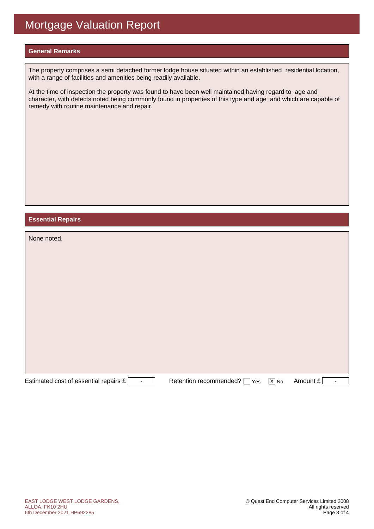### **General Remarks**

The property comprises a semi detached former lodge house situated within an established residential location, with a range of facilities and amenities being readily available.

At the time of inspection the property was found to have been well maintained having regard to age and character, with defects noted being commonly found in properties of this type and age and which are capable of remedy with routine maintenance and repair.

### **Essential Repairs**

| None noted.                                             |                                 |        |                            |
|---------------------------------------------------------|---------------------------------|--------|----------------------------|
|                                                         |                                 |        |                            |
|                                                         |                                 |        |                            |
|                                                         |                                 |        |                            |
|                                                         |                                 |        |                            |
|                                                         |                                 |        |                            |
|                                                         |                                 |        |                            |
|                                                         |                                 |        |                            |
|                                                         |                                 |        |                            |
| Estimated cost of essential repairs £<br>$\blacksquare$ | Retention recommended? [<br>Yes | $X$ No | Amount £<br>$\blacksquare$ |